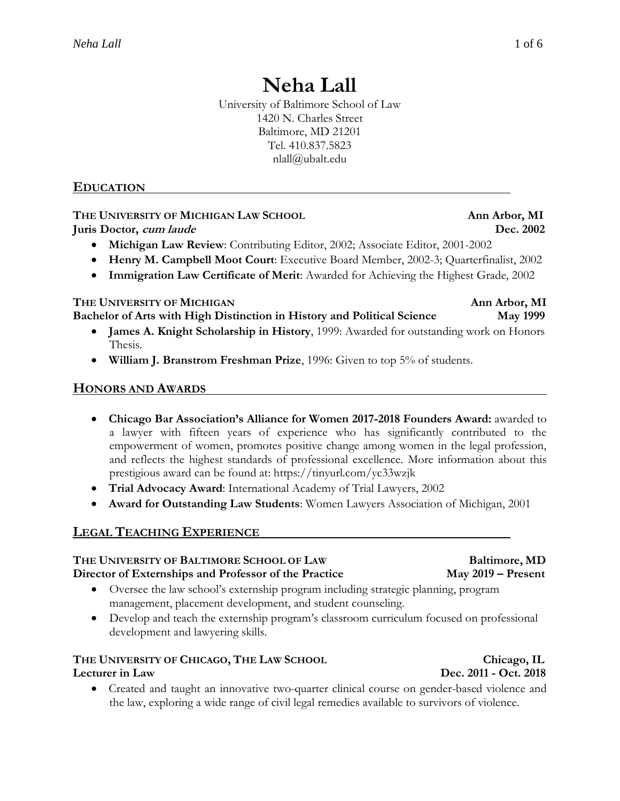# **Neha Lall**

University of Baltimore School of Law 1420 N. Charles Street Baltimore, MD 21201 Tel. 410.837.5823 nlall@ubalt.edu

### **EDUCATION**

## **THE UNIVERSITY OF MICHIGAN LAW SCHOOL Ann Arbor, MI**

**Juris Doctor, cum laude Dec. 2002**

- **Michigan Law Review**: Contributing Editor, 2002; Associate Editor, 2001-2002
- **Henry M. Campbell Moot Court**: Executive Board Member, 2002-3; Quarterfinalist, 2002
- **Immigration Law Certificate of Merit**: Awarded for Achieving the Highest Grade, 2002

#### **THE UNIVERSITY OF MICHIGAN Ann Arbor, MI**

**Bachelor of Arts with High Distinction in History and Political Science May 1999**

- **James A. Knight Scholarship in History**, 1999: Awarded for outstanding work on Honors Thesis.
- **William J. Branstrom Freshman Prize**, 1996: Given to top 5% of students.

### **HONORS AND AWARDS**

- **Chicago Bar Association's Alliance for Women 2017-2018 Founders Award:** awarded to a lawyer with fifteen years of experience who has significantly contributed to the empowerment of women, promotes positive change among women in the legal profession, and reflects the highest standards of professional excellence. More information about this prestigious award can be found at: https://tinyurl.com/yc33wzjk
- **Trial Advocacy Award**: International Academy of Trial Lawyers, 2002
- **Award for Outstanding Law Students**: Women Lawyers Association of Michigan, 2001

### **LEGAL TEACHING EXPERIENCE**

## **THE UNIVERSITY OF BALTIMORE SCHOOL OF LAW Baltimore, MD**

#### **Director of Externships and Professor of the Practice May 2019 – Present**

- Oversee the law school's externship program including strategic planning, program management, placement development, and student counseling.
- Develop and teach the externship program's classroom curriculum focused on professional development and lawyering skills.

## **THE UNIVERSITY OF CHICAGO, THE LAW SCHOOL Chicago, IL**

### **Lecturer in Law Dec. 2011 - Oct. 2018**

 Created and taught an innovative two-quarter clinical course on gender-based violence and the law, exploring a wide range of civil legal remedies available to survivors of violence.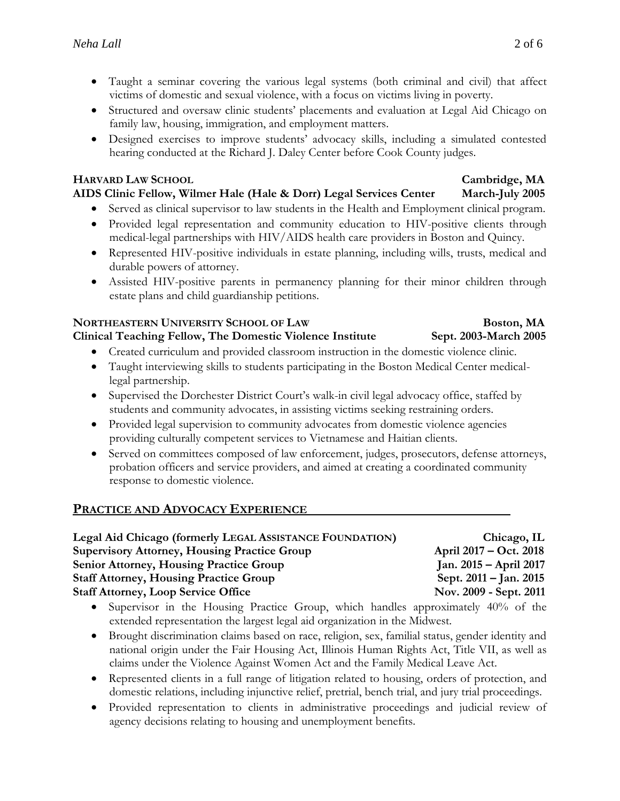- Taught a seminar covering the various legal systems (both criminal and civil) that affect victims of domestic and sexual violence, with a focus on victims living in poverty.
- Structured and oversaw clinic students' placements and evaluation at Legal Aid Chicago on family law, housing, immigration, and employment matters.
- Designed exercises to improve students' advocacy skills, including a simulated contested hearing conducted at the Richard J. Daley Center before Cook County judges.

### **HARVARD LAW SCHOOL Cambridge, MA**

### **AIDS Clinic Fellow, Wilmer Hale (Hale & Dorr) Legal Services Center March-July 2005**

- Served as clinical supervisor to law students in the Health and Employment clinical program.
- Provided legal representation and community education to HIV-positive clients through medical-legal partnerships with HIV/AIDS health care providers in Boston and Quincy.
- Represented HIV-positive individuals in estate planning, including wills, trusts, medical and durable powers of attorney.
- Assisted HIV-positive parents in permanency planning for their minor children through estate plans and child guardianship petitions.

#### **NORTHEASTERN UNIVERSITY SCHOOL OF LAW Boston, MA Clinical Teaching Fellow, The Domestic Violence Institute Sept. 2003-March 2005**

- Created curriculum and provided classroom instruction in the domestic violence clinic.
- Taught interviewing skills to students participating in the Boston Medical Center medicallegal partnership.
- Supervised the Dorchester District Court's walk-in civil legal advocacy office, staffed by students and community advocates, in assisting victims seeking restraining orders.
- Provided legal supervision to community advocates from domestic violence agencies providing culturally competent services to Vietnamese and Haitian clients.
- Served on committees composed of law enforcement, judges, prosecutors, defense attorneys, probation officers and service providers, and aimed at creating a coordinated community response to domestic violence.

### **PRACTICE AND ADVOCACY EXPERIENCE**

| Legal Aid Chicago (formerly LEGAL ASSISTANCE FOUNDATION) | Chicago, IL                |
|----------------------------------------------------------|----------------------------|
| <b>Supervisory Attorney, Housing Practice Group</b>      | April 2017 – Oct. 2018     |
| <b>Senior Attorney, Housing Practice Group</b>           | Jan. $2015 - April 2017$   |
| <b>Staff Attorney, Housing Practice Group</b>            | Sept. $2011 -$ Jan. $2015$ |
| <b>Staff Attorney, Loop Service Office</b>               | Nov. 2009 - Sept. 2011     |

- Supervisor in the Housing Practice Group, which handles approximately 40% of the extended representation the largest legal aid organization in the Midwest.
- Brought discrimination claims based on race, religion, sex, familial status, gender identity and national origin under the Fair Housing Act, Illinois Human Rights Act, Title VII, as well as claims under the Violence Against Women Act and the Family Medical Leave Act.
- Represented clients in a full range of litigation related to housing, orders of protection, and domestic relations, including injunctive relief, pretrial, bench trial, and jury trial proceedings.
- Provided representation to clients in administrative proceedings and judicial review of agency decisions relating to housing and unemployment benefits.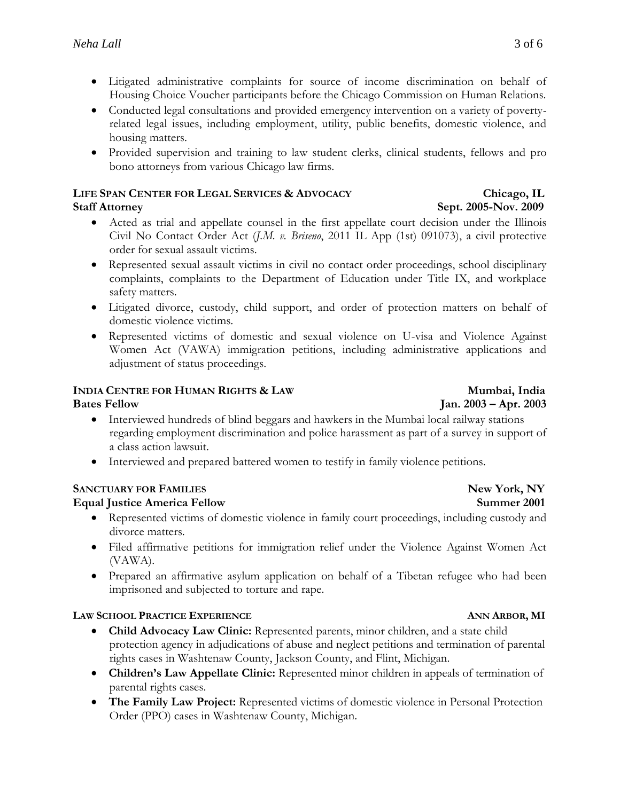- Litigated administrative complaints for source of income discrimination on behalf of Housing Choice Voucher participants before the Chicago Commission on Human Relations.
- Conducted legal consultations and provided emergency intervention on a variety of povertyrelated legal issues, including employment, utility, public benefits, domestic violence, and housing matters.
- Provided supervision and training to law student clerks, clinical students, fellows and pro bono attorneys from various Chicago law firms.

#### **LIFE SPAN CENTER FOR LEGAL SERVICES & ADVOCACY Chicago, IL Staff Attorney Sept. 2005-Nov. 2009**

- Acted as trial and appellate counsel in the first appellate court decision under the Illinois Civil No Contact Order Act (*J.M. v. Briseno*, 2011 IL App (1st) 091073), a civil protective order for sexual assault victims.
- Represented sexual assault victims in civil no contact order proceedings, school disciplinary complaints, complaints to the Department of Education under Title IX, and workplace safety matters.
- Litigated divorce, custody, child support, and order of protection matters on behalf of domestic violence victims.
- Represented victims of domestic and sexual violence on U-visa and Violence Against Women Act (VAWA) immigration petitions, including administrative applications and adjustment of status proceedings.

### **INDIA CENTRE FOR HUMAN RIGHTS & LAW Mumbai, India**

**Bates Fellow Jan. 2003 – Apr. 2003**

- Interviewed hundreds of blind beggars and hawkers in the Mumbai local railway stations regarding employment discrimination and police harassment as part of a survey in support of a class action lawsuit.
- Interviewed and prepared battered women to testify in family violence petitions.

### **SANCTUARY FOR FAMILIES New York, NY**

### **Equal Justice America Fellow Summer 2001**

- Represented victims of domestic violence in family court proceedings, including custody and divorce matters.
- Filed affirmative petitions for immigration relief under the Violence Against Women Act (VAWA).
- Prepared an affirmative asylum application on behalf of a Tibetan refugee who had been imprisoned and subjected to torture and rape.

### **LAW SCHOOL PRACTICE EXPERIENCE ANN ARBOR, MI**

- **Child Advocacy Law Clinic:** Represented parents, minor children, and a state child protection agency in adjudications of abuse and neglect petitions and termination of parental rights cases in Washtenaw County, Jackson County, and Flint, Michigan.
- Children's Law Appellate Clinic: Represented minor children in appeals of termination of parental rights cases.
- **The Family Law Project:** Represented victims of domestic violence in Personal Protection Order (PPO) cases in Washtenaw County, Michigan.

## 3 of 6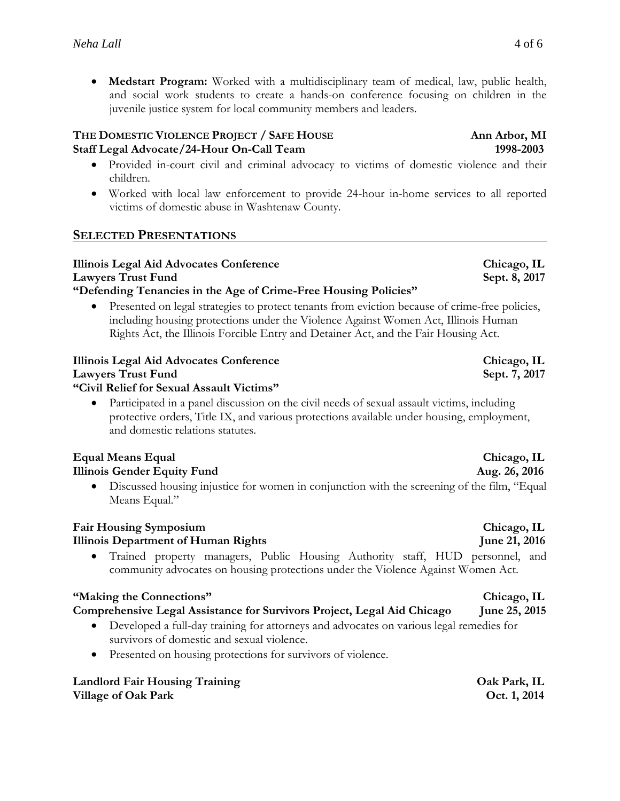**Medstart Program:** Worked with a multidisciplinary team of medical, law, public health, and social work students to create a hands-on conference focusing on children in the juvenile justice system for local community members and leaders.

#### **THE DOMESTIC VIOLENCE PROJECT / SAFE HOUSE Ann Arbor, MI Staff Legal Advocate/24-Hour On-Call Team 1998-2003**

- Provided in-court civil and criminal advocacy to victims of domestic violence and their children.
- Worked with local law enforcement to provide 24-hour in-home services to all reported victims of domestic abuse in Washtenaw County.

### **SELECTED PRESENTATIONS**

#### **Illinois Legal Aid Advocates Conference Chicago, IL** Lawyers Trust Fund Sept. 8, 2017 **"Defending Tenancies in the Age of Crime-Free Housing Policies"**

 Presented on legal strategies to protect tenants from eviction because of crime-free policies, including housing protections under the Violence Against Women Act, Illinois Human Rights Act, the Illinois Forcible Entry and Detainer Act, and the Fair Housing Act.

### **Illinois Legal Aid Advocates Conference Chicago, IL Lawyers Trust Fund** Sept. 7, 2017 **"Civil Relief for Sexual Assault Victims"**

 Participated in a panel discussion on the civil needs of sexual assault victims, including protective orders, Title IX, and various protections available under housing, employment, and domestic relations statutes.

#### **Equal Means Equal Chicago, IL Illinois Gender Equity Fund Aug. 26, 2016**

 Discussed housing injustice for women in conjunction with the screening of the film, "Equal Means Equal."

### **Fair Housing Symposium Chicago, IL**

### **Illinois Department of Human Rights Separation 1.2016** June 21, 2016

 Trained property managers, Public Housing Authority staff, HUD personnel, and community advocates on housing protections under the Violence Against Women Act.

### **"Making the Connections" Chicago, IL**

### **Comprehensive Legal Assistance for Survivors Project, Legal Aid Chicago June 25, 2015**

- Developed a full-day training for attorneys and advocates on various legal remedies for survivors of domestic and sexual violence.
- Presented on housing protections for survivors of violence.

#### **Landlord Fair Housing Training Oak Park, IL Village of Oak Park Contract Contract Contract Contract Contract Contract Oct. 1, 2014**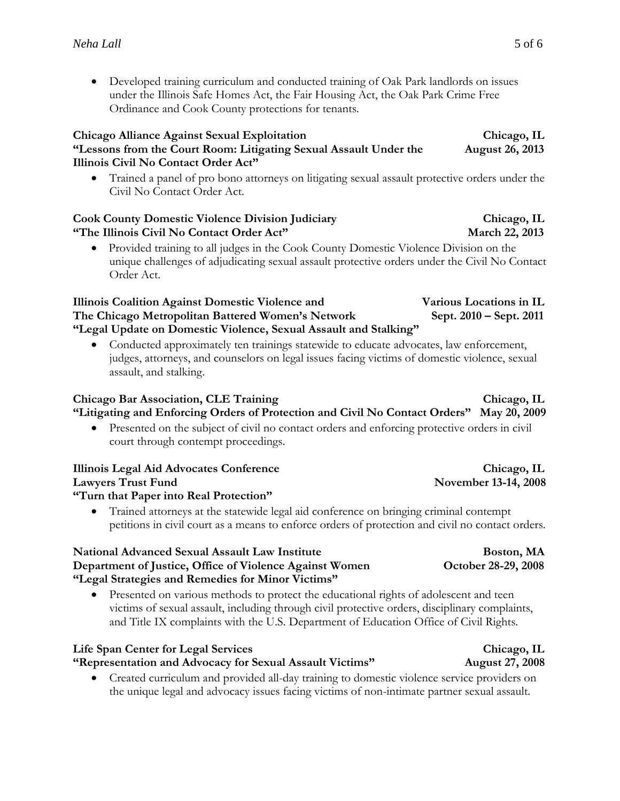Developed training curriculum and conducted training of Oak Park landlords on issues under the Illinois Safe Homes Act, the Fair Housing Act, the Oak Park Crime Free Ordinance and Cook County protections for tenants.

#### **Chicago Alliance Against Sexual Exploitation Chicago, IL "Lessons from the Court Room: Litigating Sexual Assault Under the August 26, 2013 Illinois Civil No Contact Order Act"**

 Trained a panel of pro bono attorneys on litigating sexual assault protective orders under the Civil No Contact Order Act.

#### **Cook County Domestic Violence Division Judiciary Chicago, IL "The Illinois Civil No Contact Order Act" March 22, 2013**

 Provided training to all judges in the Cook County Domestic Violence Division on the unique challenges of adjudicating sexual assault protective orders under the Civil No Contact Order Act.

#### **Illinois Coalition Against Domestic Violence and Various Locations in IL The Chicago Metropolitan Battered Women's Network Sept. 2010 – Sept. 2011 "Legal Update on Domestic Violence, Sexual Assault and Stalking"**

 Conducted approximately ten trainings statewide to educate advocates, law enforcement, judges, attorneys, and counselors on legal issues facing victims of domestic violence, sexual assault, and stalking.

### **Chicago Bar Association, CLE Training Chicago, Chicago, IL "Litigating and Enforcing Orders of Protection and Civil No Contact Orders" May 20, 2009**

 Presented on the subject of civil no contact orders and enforcing protective orders in civil court through contempt proceedings.

### **Illinois Legal Aid Advocates Conference Chicago, IL Lawyers Trust Fund November 13-14, 2008 "Turn that Paper into Real Protection"**

 Trained attorneys at the statewide legal aid conference on bringing criminal contempt petitions in civil court as a means to enforce orders of protection and civil no contact orders.

#### **National Advanced Sexual Assault Law Institute 6 and Sexual Assault Law Institute Boston, MA Department of Justice, Office of Violence Against Women October 28-29, 2008 "Legal Strategies and Remedies for Minor Victims"**

• Presented on various methods to protect the educational rights of adolescent and teen victims of sexual assault, including through civil protective orders, disciplinary complaints, and Title IX complaints with the U.S. Department of Education Office of Civil Rights.

### **Life Span Center for Legal Services Chicago, IL**

**"Representation and Advocacy for Sexual Assault Victims" August 27, 2008**

 Created curriculum and provided all-day training to domestic violence service providers on the unique legal and advocacy issues facing victims of non-intimate partner sexual assault.